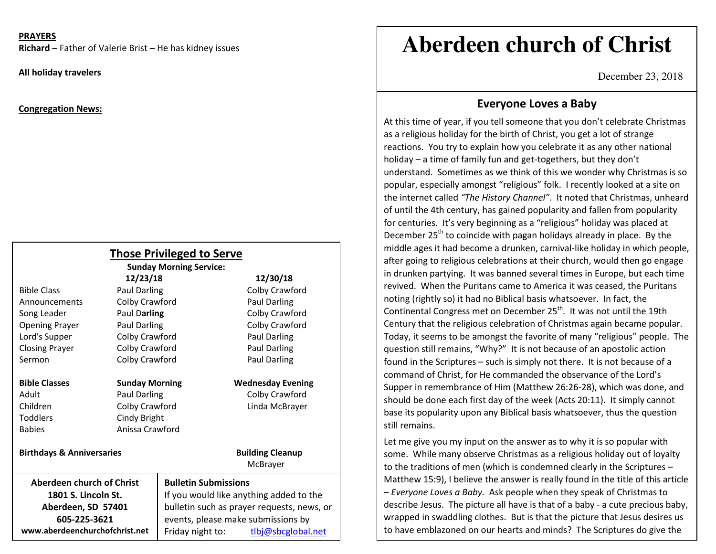## **PRAYERS**

**Richard** – Father of Valerie Brist – He has kidney issues

**All holiday travelers** 

**Congregation News:**

|                                      |                                                                                       | <b>Those Privileged to Serve</b>   |                         |                          |  |
|--------------------------------------|---------------------------------------------------------------------------------------|------------------------------------|-------------------------|--------------------------|--|
|                                      |                                                                                       | <b>Sunday Morning Service:</b>     |                         |                          |  |
|                                      | 12/23/18                                                                              |                                    |                         | 12/30/18                 |  |
| <b>Bible Class</b>                   | Paul Darling                                                                          |                                    |                         | Colby Crawford           |  |
| Announcements                        | Colby Crawford                                                                        |                                    |                         | Paul Darling             |  |
| Song Leader                          | Paul Darling                                                                          |                                    |                         | Colby Crawford           |  |
| <b>Opening Prayer</b>                | Paul Darling                                                                          |                                    |                         | Colby Crawford           |  |
| Lord's Supper                        | Colby Crawford                                                                        |                                    |                         | <b>Paul Darling</b>      |  |
| <b>Closing Prayer</b>                | Colby Crawford                                                                        |                                    |                         | <b>Paul Darling</b>      |  |
| Sermon                               | Colby Crawford                                                                        |                                    |                         | <b>Paul Darling</b>      |  |
| <b>Bible Classes</b>                 | <b>Sunday Morning</b>                                                                 |                                    |                         | <b>Wednesday Evening</b> |  |
| Adult                                | <b>Paul Darling</b>                                                                   |                                    |                         | Colby Crawford           |  |
| Children                             | Colby Crawford                                                                        |                                    |                         | Linda McBrayer           |  |
| <b>Toddlers</b>                      | Cindy Bright                                                                          |                                    |                         |                          |  |
| <b>Babies</b>                        | Anissa Crawford                                                                       |                                    |                         |                          |  |
| <b>Birthdays &amp; Anniversaries</b> |                                                                                       |                                    | <b>Building Cleanup</b> |                          |  |
|                                      |                                                                                       |                                    |                         | McBrayer                 |  |
| <b>Aberdeen church of Christ</b>     | <b>Bulletin Submissions</b>                                                           |                                    |                         |                          |  |
| 1801 S. Lincoln St.                  | If you would like anything added to the<br>bulletin such as prayer requests, news, or |                                    |                         |                          |  |
| Aberdeen, SD 57401                   |                                                                                       |                                    |                         |                          |  |
| 605-225-3621                         |                                                                                       | events, please make submissions by |                         |                          |  |
| www.aberdeenchurchofchrist.net       |                                                                                       | Friday night to:                   |                         | tlbj@sbcglobal.net       |  |

## **Aberdeen church of Christ**

December 23, 2018

## **Everyone Loves a Baby**

At this time of year, if you tell someone that you don't celebrate Christmas as a religious holiday for the birth of Christ, you get a lot of strange reactions. You try to explain how you celebrate it as any other national holiday – a time of family fun and get-togethers, but they don't understand. Sometimes as we think of this we wonder why Christmas is so popular, especially amongst "religious" folk. I recently looked at a site on the internet called *"The History Channel"*. It noted that Christmas, unheard of until the 4th century, has gained popularity and fallen from popularity for centuries. It's very beginning as a "religious" holiday was placed at December  $25<sup>th</sup>$  to coincide with pagan holidays already in place. By the middle ages it had become a drunken, carnival-like holiday in which people, after going to religious celebrations at their church, would then go engage in drunken partying. It was banned several times in Europe, but each time revived. When the Puritans came to America it was ceased, the Puritans noting (rightly so) it had no Biblical basis whatsoever. In fact, the Continental Congress met on December  $25<sup>th</sup>$ . It was not until the 19th Century that the religious celebration of Christmas again became popular. Today, it seems to be amongst the favorite of many "religious" people. The question still remains, "Why?" It is not because of an apostolic action found in the Scriptures – such is simply not there. It is not because of a command of Christ, for He commanded the observance of the Lord's Supper in remembrance of Him (Matthew 26:26-28), which was done, and should be done each first day of the week (Acts 20:11). It simply cannot base its popularity upon any Biblical basis whatsoever, thus the question still remains.

Let me give you my input on the answer as to why it is so popular with some. While many observe Christmas as a religious holiday out of loyalty to the traditions of men (which is condemned clearly in the Scriptures – Matthew 15:9), I believe the answer is really found in the title of this article – *Everyone Loves a Baby.* Ask people when they speak of Christmas to describe Jesus. The picture all have is that of a baby - a cute precious baby, wrapped in swaddling clothes. But is that the picture that Jesus desires us to have emblazoned on our hearts and minds? The Scriptures do give the

description of Jesus being born. Then the Jesus being born. Then they tell us of his circumcision at the second